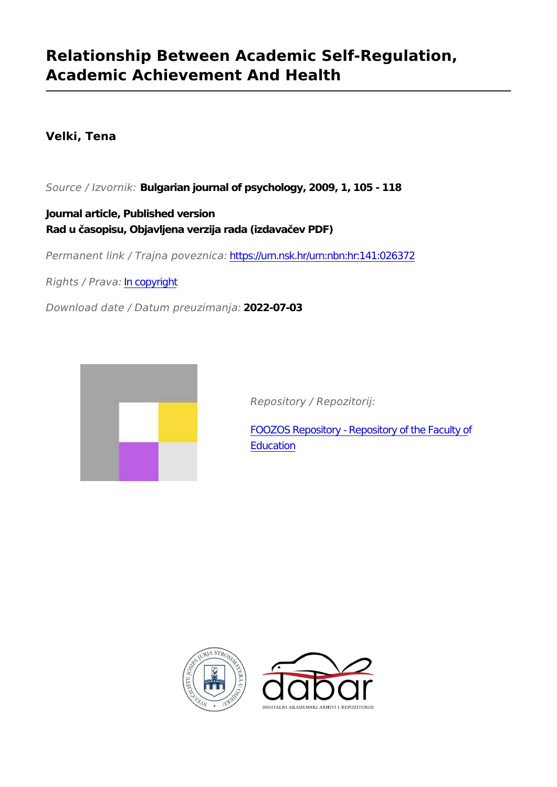# **Relationship Between Academic Self-Regulation, Academic Achievement And Health**

# **Velki, Tena**

*Source / Izvornik:* **Bulgarian journal of psychology, 2009, 1, 105 - 118**

**Journal article, Published version Rad u časopisu, Objavljena verzija rada (izdavačev PDF)**

*Permanent link / Trajna poveznica:* <https://urn.nsk.hr/urn:nbn:hr:141:026372>

*Rights / Prava:* [In copyright](http://rightsstatements.org/vocab/InC/1.0/)

*Download date / Datum preuzimanja:* **2022-07-03**



*Repository / Repozitorij:*

[FOOZOS Repository - Repository of the Faculty o](https://repozitorij.foozos.hr)f **[Education](https://repozitorij.foozos.hr)** 



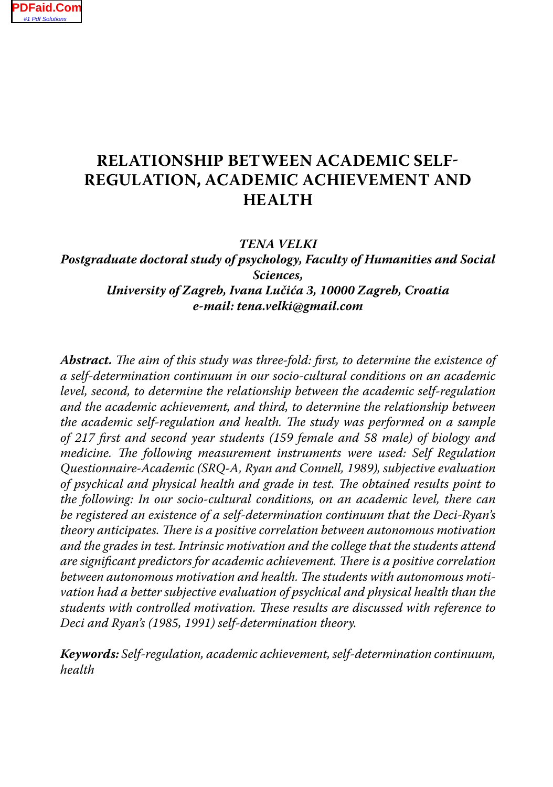## **RELATIONSHIP BETWEEN ACADEMIC SELF-REGULATION, ACADEMIC ACHIEVEMENT AND HEALTH**

*TENA VELKI*

*Postgraduate doctoral study of psychology, Faculty of Humanities and Social Sciences, University of Zagreb, Ivana Lučića 3, 10000 Zagreb, Croatia e-mail: tena.velki@gmail.com*

*Abstract. The aim of this study was three-fold: first, to determine the existence of a self-determination continuum in our socio-cultural conditions on an academic level, second, to determine the relationship between the academic self-regulation and the academic achievement, and third, to determine the relationship between the academic self-regulation and health. The study was performed on a sample of 217 first and second year students (159 female and 58 male) of biology and medicine. The following measurement instruments were used: Self Regulation Questionnaire-Academic (SRQ-A, Ryan and Connell, 1989), subjective evaluation of psychical and physical health and grade in test. The obtained results point to the following: In our socio-cultural conditions, on an academic level, there can be registered an existence of a self-determination continuum that the Deci-Ryan's theory anticipates. There is a positive correlation between autonomous motivation and the grades in test. Intrinsic motivation and the college that the students attend are significant predictors for academic achievement. There is a positive correlation between autonomous motivation and health. The students with autonomous motivation had a better subjective evaluation of psychical and physical health than the students with controlled motivation. These results are discussed with reference to Deci and Ryan's (1985, 1991) self-determination theory.*

*Keywords: Self-regulation, academic achievement, self-determination continuum, health*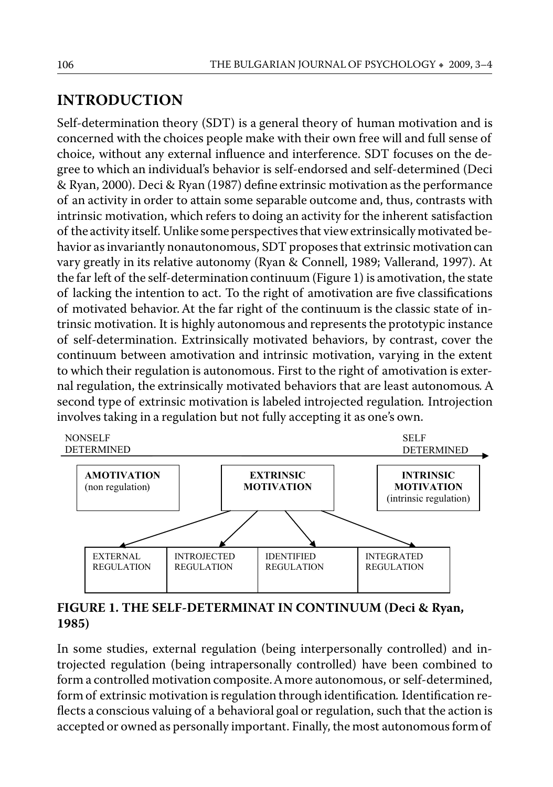## **INTRODUCTION**

Self-determination theory (SDT) is a general theory of human motivation and is concerned with the choices people make with their own free will and full sense of choice, without any external influence and interference. SDT focuses on the degree to which an individual's behavior is self-endorsed and self-determined (Deci & Ryan, 2000). Deci & Ryan (1987) define extrinsic motivation as the performance of an activity in order to attain some separable outcome and, thus, contrasts with intrinsic motivation, which refers to doing an activity for the inherent satisfaction of the activity itself. Unlike some perspectives that view extrinsically motivated behavior as invariantly nonautonomous, SDT proposes that extrinsic motivation can vary greatly in its relative autonomy (Ryan & Connell, 1989; Vallerand, 1997). At the far left of the self-determination continuum (Figure 1) is amotivation, the state of lacking the intention to act. To the right of amotivation are five classifications of motivated behavior. At the far right of the continuum is the classic state of intrinsic motivation. It is highly autonomous and represents the prototypic instance of self-determination. Extrinsically motivated behaviors, by contrast, cover the continuum between amotivation and intrinsic motivation, varying in the extent to which their regulation is autonomous. First to the right of amotivation is external regulation, the extrinsically motivated behaviors that are least autonomous*.* A second type of extrinsic motivation is labeled introjected regulation*.* Introjection involves taking in a regulation but not fully accepting it as one's own.



**FIGURE 1. THE SELF-DETERMINAT IN CONTINUUM (Deci & Ryan, 1985)**

In some studies, external regulation (being interpersonally controlled) and introjected regulation (being intrapersonally controlled) have been combined to form a controlled motivation composite. A more autonomous, or self-determined, form of extrinsic motivation is regulation through identification*.* Identification reflects a conscious valuing of a behavioral goal or regulation, such that the action is accepted or owned as personally important. Finally, the most autonomous form of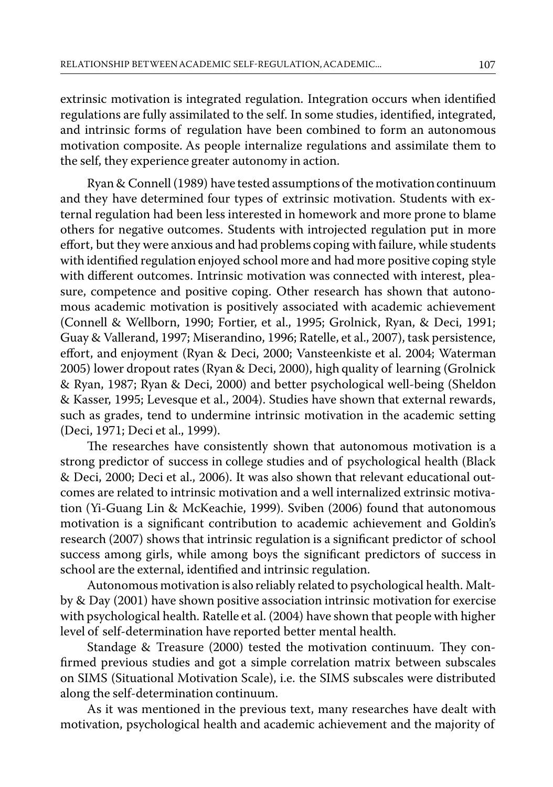extrinsic motivation is integrated regulation. Integration occurs when identified regulations are fully assimilated to the self. In some studies, identified, integrated, and intrinsic forms of regulation have been combined to form an autonomous motivation composite. As people internalize regulations and assimilate them to the self, they experience greater autonomy in action.

Ryan & Connell (1989) have tested assumptions of the motivation continuum and they have determined four types of extrinsic motivation. Students with external regulation had been less interested in homework and more prone to blame others for negative outcomes. Students with introjected regulation put in more effort, but they were anxious and had problems coping with failure, while students with identified regulation enjoyed school more and had more positive coping style with different outcomes. Intrinsic motivation was connected with interest, pleasure, competence and positive coping. Other research has shown that autonomous academic motivation is positively associated with academic achievement (Connell & Wellborn, 1990; Fortier, et al., 1995; Grolnick, Ryan, & Deci, 1991; Guay & Vallerand, 1997; Miserandino, 1996; Ratelle, et al., 2007), task persistence, effort, and enjoyment (Ryan & Deci, 2000; Vansteenkiste et al. 2004; Waterman 2005) lower dropout rates (Ryan & Deci, 2000), high quality of learning (Grolnick & Ryan, 1987; Ryan & Deci, 2000) and better psychological well-being (Sheldon & Kasser, 1995; Levesque et al., 2004). Studies have shown that external rewards, such as grades, tend to undermine intrinsic motivation in the academic setting (Deci, 1971; Deci et al., 1999).

The researches have consistently shown that autonomous motivation is a strong predictor of success in college studies and of psychological health (Black & Deci, 2000; Deci et al., 2006). It was also shown that relevant educational outcomes are related to intrinsic motivation and a well internalized extrinsic motivation (Yi-Guang Lin & McKeachie, 1999). Sviben (2006) found that autonomous motivation is a significant contribution to academic achievement and Goldin's research (2007) shows that intrinsic regulation is a significant predictor of school success among girls, while among boys the significant predictors of success in school are the external, identified and intrinsic regulation.

Autonomous motivation is also reliably related to psychological health. Maltby & Day (2001) have shown positive association intrinsic motivation for exercise with psychological health. Ratelle et al. (2004) have shown that people with higher level of self-determination have reported better mental health.

Standage & Treasure (2000) tested the motivation continuum. They confirmed previous studies and got a simple correlation matrix between subscales on SIMS (Situational Motivation Scale), i.e. the SIMS subscales were distributed along the self-determination continuum.

As it was mentioned in the previous text, many researches have dealt with motivation, psychological health and academic achievement and the majority of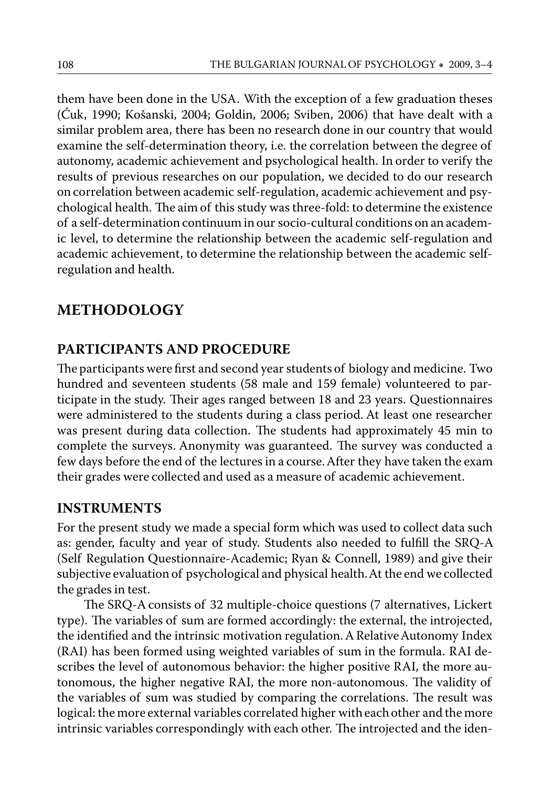them have been done in the USA. With the exception of a few graduation theses (Ćuk, 1990; Košanski, 2004; Goldin, 2006; Sviben, 2006) that have dealt with a similar problem area, there has been no research done in our country that would examine the self-determination theory, i.e. the correlation between the degree of autonomy, academic achievement and psychological health. In order to verify the results of previous researches on our population, we decided to do our research on correlation between academic self-regulation, academic achievement and psychological health. The aim of this study was three-fold: to determine the existence of a self-determination continuum in our socio-cultural conditions on an academic level, to determine the relationship between the academic self-regulation and academic achievement, to determine the relationship between the academic selfregulation and health.

#### **METHODOLOGY**

#### **PARTICIPANTS AND PROCEDURE**

The participants were first and second year students of biology and medicine. Two hundred and seventeen students (58 male and 159 female) volunteered to participate in the study. Their ages ranged between 18 and 23 years. Questionnaires were administered to the students during a class period. At least one researcher was present during data collection. The students had approximately 45 min to complete the surveys. Anonymity was guaranteed. The survey was conducted a few days before the end of the lectures in a course. After they have taken the exam their grades were collected and used as a measure of academic achievement.

#### **INSTRUMENTS**

For the present study we made a special form which was used to collect data such as: gender, faculty and year of study. Students also needed to fulfill the SRQ-A (Self Regulation Questionnaire-Academic; Ryan & Connell, 1989) and give their subjective evaluation of psychological and physical health. At the end we collected the grades in test.

The SRQ-A consists of 32 multiple-choice questions (7 alternatives, Lickert type). The variables of sum are formed accordingly: the external, the introjected, the identified and the intrinsic motivation regulation. A Relative Autonomy Index (RAI) has been formed using weighted variables of sum in the formula. RAI describes the level of autonomous behavior: the higher positive RAI, the more autonomous, the higher negative RAI, the more non-autonomous. The validity of the variables of sum was studied by comparing the correlations. The result was logical: the more external variables correlated higher with each other and the more intrinsic variables correspondingly with each other. The introjected and the iden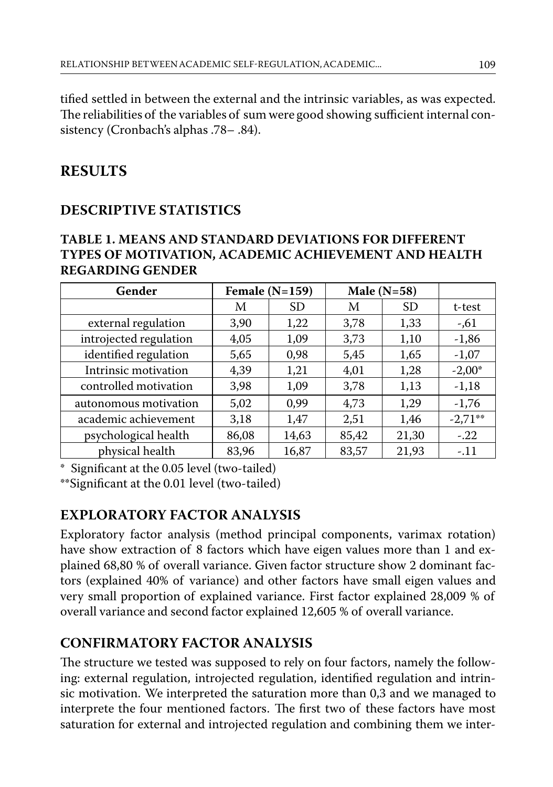tified settled in between the external and the intrinsic variables, as was expected. The reliabilities of the variables of sum were good showing sufficient internal consistency (Cronbach's alphas .78– .84).

## **RESULTS**

## **DESCRIPTIVE STATISTICS**

#### **TABLE 1. MEANS AND STANDARD DEVIATIONS FOR DIFFERENT TYPES OF MOTIVATION, ACADEMIC ACHIEVEMENT AND HEALTH REGARDING GENDER**

| Gender                 | Female $(N=159)$ |           | Male $(N=58)$ |           |           |
|------------------------|------------------|-----------|---------------|-----------|-----------|
|                        | M                | <b>SD</b> | М             | <b>SD</b> | t-test    |
| external regulation    | 3,90             | 1,22      | 3,78          | 1,33      | $-0.61$   |
| introjected regulation | 4,05             | 1,09      | 3,73          | 1,10      | $-1,86$   |
| identified regulation  | 5,65             | 0,98      | 5,45          | 1,65      | $-1,07$   |
| Intrinsic motivation   | 4,39             | 1,21      | 4,01          | 1,28      | $-2,00^*$ |
| controlled motivation  | 3,98             | 1,09      | 3,78          | 1,13      | $-1,18$   |
| autonomous motivation  | 5,02             | 0.99      | 4,73          | 1,29      | $-1,76$   |
| academic achievement   | 3,18             | 1,47      | 2,51          | 1,46      | $-2,71**$ |
| psychological health   | 86,08            | 14,63     | 85,42         | 21,30     | $-.22$    |
| physical health        | 83,96            | 16,87     | 83,57         | 21,93     | $-.11$    |

Significant at the 0.05 level (two-tailed)

\*\*Significant at the 0.01 level (two-tailed)

## **EXPLORATORY FACTOR ANALYSIS**

Exploratory factor analysis (method principal components, varimax rotation) have show extraction of 8 factors which have eigen values more than 1 and explained 68,80 % of overall variance. Given factor structure show 2 dominant factors (explained 40% of variance) and other factors have small eigen values and very small proportion of explained variance. First factor explained 28,009 % of overall variance and second factor explained 12,605 % of overall variance.

## **CONFIRMATORY FACTOR ANALYSIS**

The structure we tested was supposed to rely on four factors, namely the following: external regulation, introjected regulation, identified regulation and intrinsic motivation. We interpreted the saturation more than 0,3 and we managed to interprete the four mentioned factors. The first two of these factors have most saturation for external and introjected regulation and combining them we inter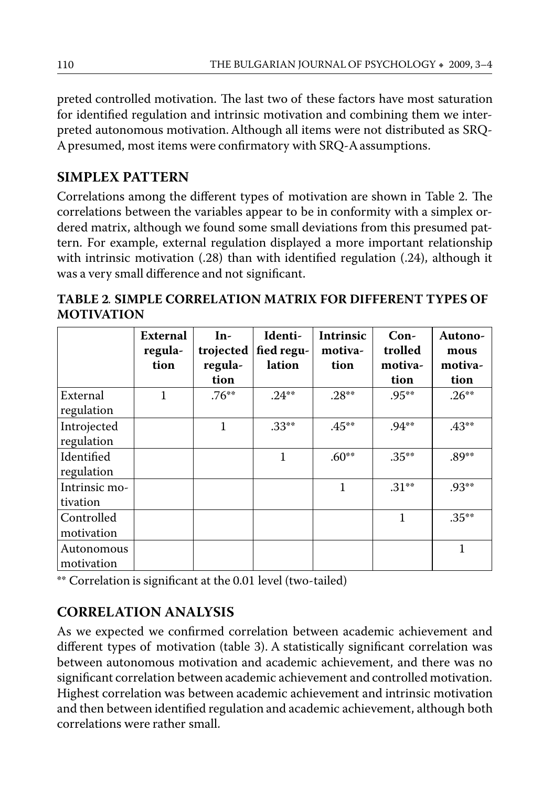preted controlled motivation. The last two of these factors have most saturation for identified regulation and intrinsic motivation and combining them we interpreted autonomous motivation. Although all items were not distributed as SRQ-A presumed, most items were confirmatory with SRQ-A assumptions.

#### **SIMPLEX PATTERN**

Correlations among the different types of motivation are shown in Table 2. The correlations between the variables appear to be in conformity with a simplex ordered matrix, although we found some small deviations from this presumed pattern. For example, external regulation displayed a more important relationship with intrinsic motivation (.28) than with identified regulation (.24), although it was a very small difference and not significant.

**TABLE 2***.* **SIMPLE CORRELATION MATRIX FOR DIFFERENT TYPES OF MOTIVATION**

|                           | External<br>regula-<br>tion | $In-$<br>trojected<br>regula-<br>tion | Identi-<br>fied regu-<br>lation | Intrinsic<br>motiva-<br>tion | $Con-$<br>trolled<br>motiva-<br>tion | <b>Autono-</b><br>mous<br>motiva-<br>tion |
|---------------------------|-----------------------------|---------------------------------------|---------------------------------|------------------------------|--------------------------------------|-------------------------------------------|
| External<br>regulation    | 1                           | $.76***$                              | $.24**$                         | $.28**$                      | $.95***$                             | $.26***$                                  |
| Introjected<br>regulation |                             | 1                                     | $.33***$                        | $.45***$                     | $.94***$                             | $.43**$                                   |
| Identified<br>regulation  |                             |                                       | 1                               | $.60**$                      | $.35***$                             | $.89***$                                  |
| Intrinsic mo-<br>tivation |                             |                                       |                                 | 1                            | $.31***$                             | $.93**$                                   |
| Controlled<br>motivation  |                             |                                       |                                 |                              | 1                                    | $.35***$                                  |
| Autonomous<br>motivation  |                             |                                       |                                 |                              |                                      | 1                                         |

\*\* Correlation is significant at the 0.01 level (two-tailed)

## **CORRELATION ANALYSIS**

As we expected we confirmed correlation between academic achievement and different types of motivation (table 3). A statistically significant correlation was between autonomous motivation and academic achievement, and there was no significant correlation between academic achievement and controlled motivation. Highest correlation was between academic achievement and intrinsic motivation and then between identified regulation and academic achievement, although both correlations were rather small.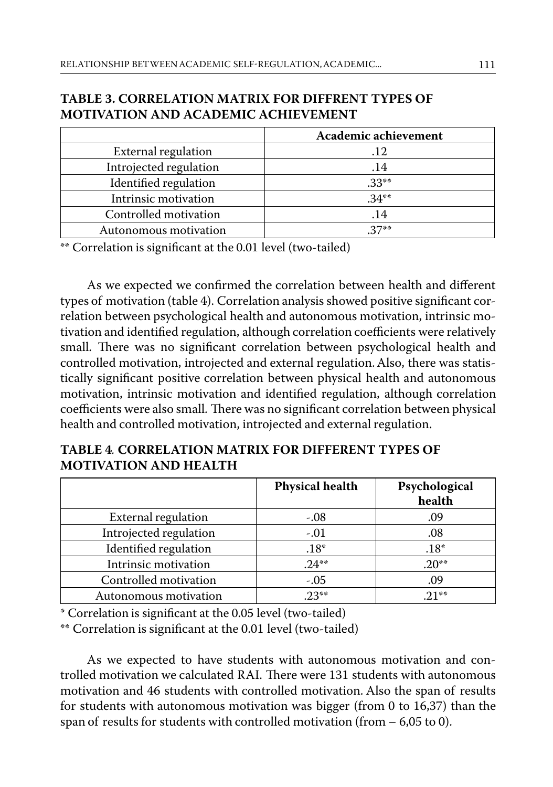#### **TABLE 3. CORRELATION MATRIX FOR DIFFRENT TYPES OF MOTIVATION AND ACADEMIC ACHIEVEMENT**

|                        | Academic achievement |  |  |
|------------------------|----------------------|--|--|
| External regulation    | .12                  |  |  |
| Introjected regulation | .14                  |  |  |
| Identified regulation  | $.33**$              |  |  |
| Intrinsic motivation   | $.34***$             |  |  |
| Controlled motivation  | .14                  |  |  |
| Autonomous motivation  | $27**$               |  |  |

\*\* Correlation is significant at the 0.01 level (two-tailed)

As we expected we confirmed the correlation between health and different types of motivation (table 4). Correlation analysis showed positive significant correlation between psychological health and autonomous motivation, intrinsic motivation and identified regulation, although correlation coefficients were relatively small. There was no significant correlation between psychological health and controlled motivation, introjected and external regulation. Also, there was statistically significant positive correlation between physical health and autonomous motivation, intrinsic motivation and identified regulation, although correlation coefficients were also small. There was no significant correlation between physical health and controlled motivation, introjected and external regulation.

#### **TABLE 4***.* **CORRELATION MATRIX FOR DIFFERENT TYPES OF MOTIVATION AND HEALTH**

|                        | <b>Physical health</b> | Psychological<br>health |
|------------------------|------------------------|-------------------------|
| External regulation    | $-.08$                 | .09                     |
| Introjected regulation | $-.01$                 | .08                     |
| Identified regulation  | $.18*$                 | $.18*$                  |
| Intrinsic motivation   | $.24***$               | $.20**$                 |
| Controlled motivation  | $-.05$                 | .09                     |
| Autonomous motivation  | $23**$                 | $21**$                  |

\* Correlation is significant at the 0.05 level (two-tailed)

\*\* Correlation is significant at the 0.01 level (two-tailed)

As we expected to have students with autonomous motivation and controlled motivation we calculated RAI. There were 131 students with autonomous motivation and 46 students with controlled motivation. Also the span of results for students with autonomous motivation was bigger (from 0 to 16,37) than the span of results for students with controlled motivation (from – 6,05 to 0).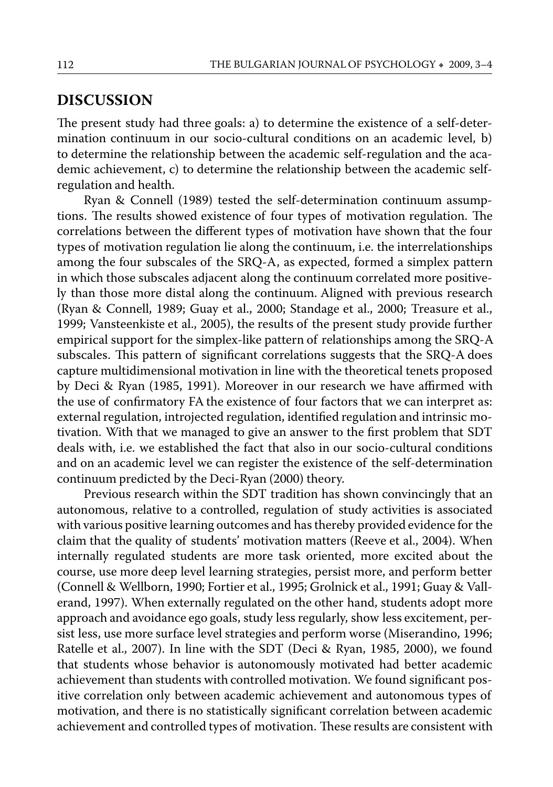#### **DISCUSSION**

The present study had three goals: a) to determine the existence of a self-determination continuum in our socio-cultural conditions on an academic level, b) to determine the relationship between the academic self-regulation and the academic achievement, c) to determine the relationship between the academic selfregulation and health.

Ryan & Connell (1989) tested the self-determination continuum assumptions. The results showed existence of four types of motivation regulation. The correlations between the different types of motivation have shown that the four types of motivation regulation lie along the continuum, i.e. the interrelationships among the four subscales of the SRQ-A, as expected, formed a simplex pattern in which those subscales adjacent along the continuum correlated more positively than those more distal along the continuum. Aligned with previous research (Ryan & Connell, 1989; Guay et al., 2000; Standage et al., 2000; Treasure et al., 1999; Vansteenkiste et al., 2005), the results of the present study provide further empirical support for the simplex-like pattern of relationships among the SRQ-A subscales. This pattern of significant correlations suggests that the SRQ-A does capture multidimensional motivation in line with the theoretical tenets proposed by Deci & Ryan (1985, 1991). Moreover in our research we have affirmed with the use of confirmatory FA the existence of four factors that we can interpret as: external regulation, introjected regulation, identified regulation and intrinsic motivation. With that we managed to give an answer to the first problem that SDT deals with, i.e. we established the fact that also in our socio-cultural conditions and on an academic level we can register the existence of the self-determination continuum predicted by the Deci-Ryan (2000) theory.

Previous research within the SDT tradition has shown convincingly that an autonomous, relative to a controlled, regulation of study activities is associated with various positive learning outcomes and has thereby provided evidence for the claim that the quality of students' motivation matters (Reeve et al., 2004). When internally regulated students are more task oriented, more excited about the course, use more deep level learning strategies, persist more, and perform better (Connell & Wellborn, 1990; Fortier et al., 1995; Grolnick et al., 1991; Guay & Vallerand, 1997). When externally regulated on the other hand, students adopt more approach and avoidance ego goals, study less regularly, show less excitement, persist less, use more surface level strategies and perform worse (Miserandino, 1996; Ratelle et al., 2007). In line with the SDT (Deci & Ryan, 1985, 2000), we found that students whose behavior is autonomously motivated had better academic achievement than students with controlled motivation. We found significant positive correlation only between academic achievement and autonomous types of motivation, and there is no statistically significant correlation between academic achievement and controlled types of motivation. These results are consistent with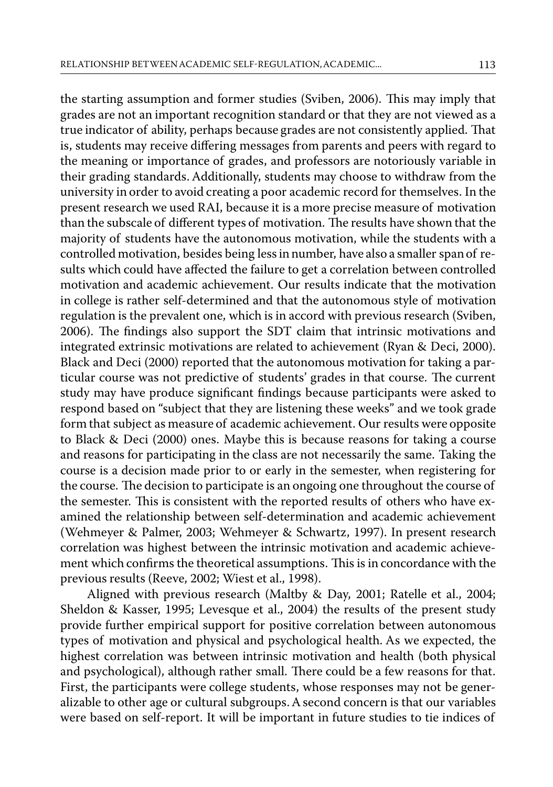the starting assumption and former studies (Sviben, 2006). This may imply that grades are not an important recognition standard or that they are not viewed as a true indicator of ability, perhaps because grades are not consistently applied. That is, students may receive differing messages from parents and peers with regard to the meaning or importance of grades, and professors are notoriously variable in their grading standards. Additionally, students may choose to withdraw from the university in order to avoid creating a poor academic record for themselves. In the present research we used RAI, because it is a more precise measure of motivation than the subscale of different types of motivation. The results have shown that the majority of students have the autonomous motivation, while the students with a controlled motivation, besides being less in number, have also a smaller span of results which could have affected the failure to get a correlation between controlled motivation and academic achievement. Our results indicate that the motivation in college is rather self-determined and that the autonomous style of motivation regulation is the prevalent one, which is in accord with previous research (Sviben, 2006). The findings also support the SDT claim that intrinsic motivations and integrated extrinsic motivations are related to achievement (Ryan & Deci, 2000). Black and Deci (2000) reported that the autonomous motivation for taking a particular course was not predictive of students' grades in that course. The current study may have produce significant findings because participants were asked to respond based on "subject that they are listening these weeks" and we took grade form that subject as measure of academic achievement. Our results were opposite to Black & Deci (2000) ones. Maybe this is because reasons for taking a course and reasons for participating in the class are not necessarily the same. Taking the course is a decision made prior to or early in the semester, when registering for the course. The decision to participate is an ongoing one throughout the course of the semester. This is consistent with the reported results of others who have examined the relationship between self-determination and academic achievement (Wehmeyer & Palmer, 2003; Wehmeyer & Schwartz, 1997). In present research correlation was highest between the intrinsic motivation and academic achievement which confirms the theoretical assumptions. This is in concordance with the previous results (Reeve, 2002; Wiest et al., 1998).

Aligned with previous research (Maltby & Day, 2001; Ratelle et al., 2004; Sheldon & Kasser, 1995; Levesque et al., 2004) the results of the present study provide further empirical support for positive correlation between autonomous types of motivation and physical and psychological health. As we expected, the highest correlation was between intrinsic motivation and health (both physical and psychological), although rather small. There could be a few reasons for that. First, the participants were college students, whose responses may not be generalizable to other age or cultural subgroups. A second concern is that our variables were based on self-report. It will be important in future studies to tie indices of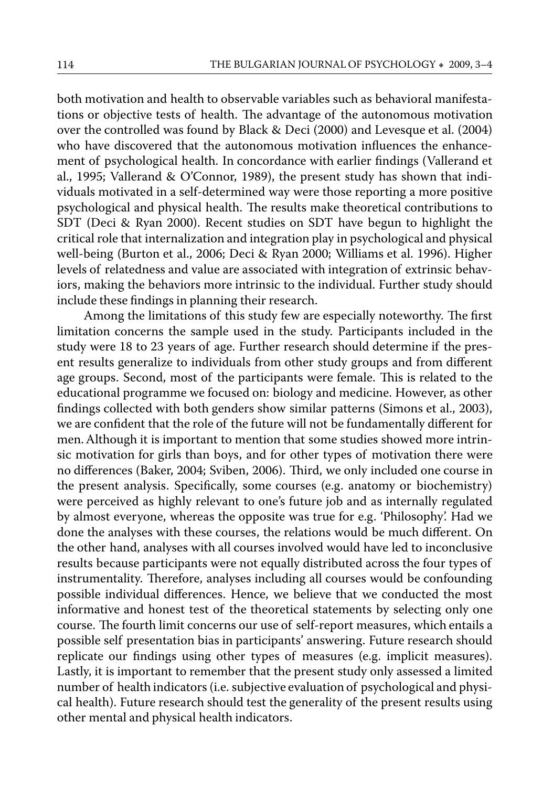both motivation and health to observable variables such as behavioral manifestations or objective tests of health. The advantage of the autonomous motivation over the controlled was found by Black & Deci (2000) and Levesque et al. (2004) who have discovered that the autonomous motivation influences the enhancement of psychological health. In concordance with earlier findings (Vallerand et al., 1995; Vallerand & O'Connor, 1989), the present study has shown that individuals motivated in a self-determined way were those reporting a more positive psychological and physical health. The results make theoretical contributions to SDT (Deci & Ryan 2000). Recent studies on SDT have begun to highlight the critical role that internalization and integration play in psychological and physical well-being (Burton et al., 2006; Deci & Ryan 2000; Williams et al. 1996). Higher levels of relatedness and value are associated with integration of extrinsic behaviors, making the behaviors more intrinsic to the individual. Further study should include these findings in planning their research.

Among the limitations of this study few are especially noteworthy. The first limitation concerns the sample used in the study. Participants included in the study were 18 to 23 years of age. Further research should determine if the present results generalize to individuals from other study groups and from different age groups. Second, most of the participants were female. This is related to the educational programme we focused on: biology and medicine. However, as other findings collected with both genders show similar patterns (Simons et al., 2003), we are confident that the role of the future will not be fundamentally different for men. Although it is important to mention that some studies showed more intrinsic motivation for girls than boys, and for other types of motivation there were no differences (Baker, 2004; Sviben, 2006). Third, we only included one course in the present analysis. Specifically, some courses (e.g. anatomy or biochemistry) were perceived as highly relevant to one's future job and as internally regulated by almost everyone, whereas the opposite was true for e.g. 'Philosophy'. Had we done the analyses with these courses, the relations would be much different. On the other hand, analyses with all courses involved would have led to inconclusive results because participants were not equally distributed across the four types of instrumentality. Therefore, analyses including all courses would be confounding possible individual differences. Hence, we believe that we conducted the most informative and honest test of the theoretical statements by selecting only one course. The fourth limit concerns our use of self-report measures, which entails a possible self presentation bias in participants' answering. Future research should replicate our findings using other types of measures (e.g. implicit measures). Lastly, it is important to remember that the present study only assessed a limited number of health indicators (i.e. subjective evaluation of psychological and physical health). Future research should test the generality of the present results using other mental and physical health indicators.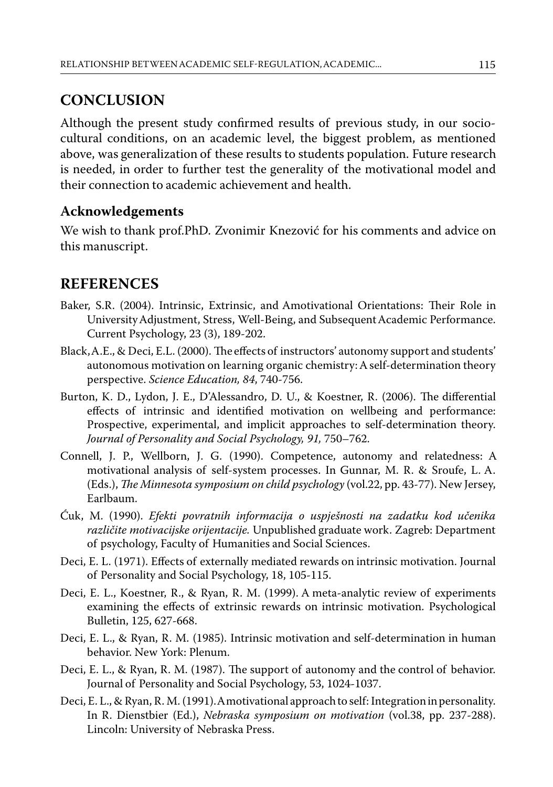## **CONCLUSION**

Although the present study confirmed results of previous study, in our sociocultural conditions, on an academic level, the biggest problem, as mentioned above, was generalization of these results to students population. Future research is needed, in order to further test the generality of the motivational model and their connection to academic achievement and health.

#### **Acknowledgements**

We wish to thank prof.PhD. Zvonimir Knezović for his comments and advice on this manuscript.

## **REFERENCES**

- Baker, S.R. (2004). Intrinsic, Extrinsic, and Amotivational Orientations: Their Role in University Adjustment, Stress, Well-Being, and Subsequent Academic Performance. Current Psychology, 23 (3), 189-202.
- Black, A.E., & Deci, E.L. (2000). The effects of instructors' autonomy support and students' autonomous motivation on learning organic chemistry: A self-determination theory perspective. *Science Education, 84*, 740-756.
- Burton, K. D., Lydon, J. E., D'Alessandro, D. U., & Koestner, R. (2006). The differential effects of intrinsic and identified motivation on wellbeing and performance: Prospective, experimental, and implicit approaches to self-determination theory. *Journal of Personality and Social Psychology, 91,* 750–762.
- Connell, J. P., Wellborn, J. G. (1990). Competence, autonomy and relatedness: A motivational analysis of self-system processes. In Gunnar, M. R. & Sroufe, L. A. (Eds.), *The Minnesota symposium on child psychology* (vol.22, pp. 43-77). New Jersey, Earlbaum.
- Ćuk, M. (1990). *Efekti povratnih informacija o uspješnosti na zadatku kod učenika različite motivacijske orijentacije.* Unpublished graduate work. Zagreb: Department of psychology, Faculty of Humanities and Social Sciences.
- Deci, E. L. (1971). Effects of externally mediated rewards on intrinsic motivation. Journal of Personality and Social Psychology, 18, 105-115.
- Deci, E. L., Koestner, R., & Ryan, R. M. (1999). A meta-analytic review of experiments examining the effects of extrinsic rewards on intrinsic motivation. Psychological Bulletin, 125, 627-668.
- Deci, E. L., & Ryan, R. M. (1985). Intrinsic motivation and self-determination in human behavior. New York: Plenum.
- Deci, E. L., & Ryan, R. M. (1987). The support of autonomy and the control of behavior. Journal of Personality and Social Psychology, 53, 1024-1037.
- Deci, E. L., & Ryan, R. M. (1991). A motivational approach to self: Integration in personality. In R. Dienstbier (Ed.), *Nebraska symposium on motivation* (vol.38, pp. 237-288). Lincoln: University of Nebraska Press.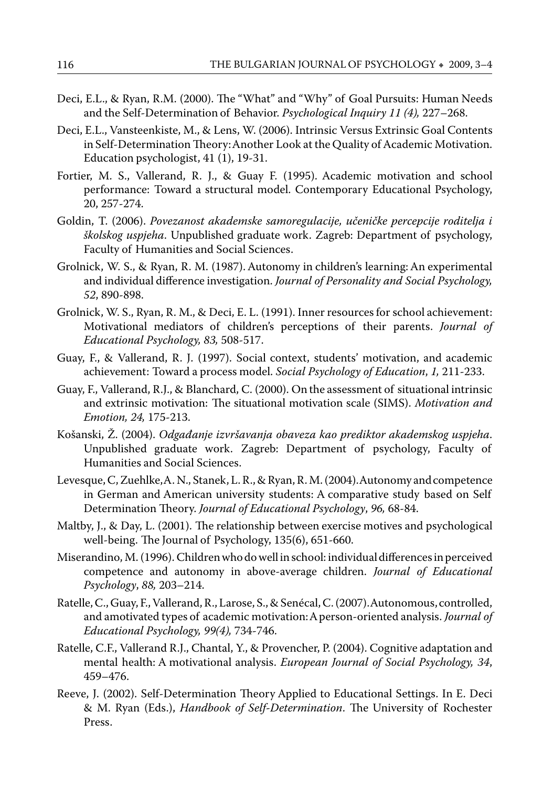- Deci, E.L., & Ryan, R.M. (2000). The "What" and "Why" of Goal Pursuits: Human Needs and the Self-Determination of Behavior. *Psychological Inquiry 11 (4),* 227–268.
- Deci, E.L., Vansteenkiste, M., & Lens, W. (2006). Intrinsic Versus Extrinsic Goal Contents in Self-Determination Theory: Another Look at the Quality of Academic Motivation. Education psychologist, 41 (1), 19-31.
- Fortier, M. S., Vallerand, R. J., & Guay F. (1995). Academic motivation and school performance: Toward a structural model. Contemporary Educational Psychology, 20, 257-274.
- Goldin, T. (2006). *Povezanost akademske samoregulacije, učeničke percepcije roditelja i školskog uspjeha*. Unpublished graduate work. Zagreb: Department of psychology, Faculty of Humanities and Social Sciences.
- Grolnick, W. S., & Ryan, R. M. (1987). Autonomy in children's learning: An experimental and individual difference investigation. *Journal of Personality and Social Psychology, 52*, 890-898.
- Grolnick, W. S., Ryan, R. M., & Deci, E. L. (1991). Inner resources for school achievement: Motivational mediators of children's perceptions of their parents. *Journal of Educational Psychology, 83,* 508-517.
- Guay, F., & Vallerand, R. J. (1997). Social context, students' motivation, and academic achievement: Toward a process model. *Social Psychology of Education*, *1,* 211-233.
- Guay, F., Vallerand, R.J., & Blanchard, C. (2000). On the assessment of situational intrinsic and extrinsic motivation: The situational motivation scale (SIMS). *Motivation and Emotion, 24,* 175-213.
- Košanski, Ž. (2004). *Odgađanje izvršavanja obaveza kao prediktor akademskog uspjeha*. Unpublished graduate work. Zagreb: Department of psychology, Faculty of Humanities and Social Sciences.
- Levesque, C, Zuehlke, A. N., Stanek, L. R., & Ryan, R. M. (2004). Autonomy and competence in German and American university students: A comparative study based on Self Determination Theory. *Journal of Educational Psychology*, *96,* 68-84.
- Maltby, J., & Day, L. (2001). The relationship between exercise motives and psychological well-being. The Journal of Psychology, 135(6), 651-660.
- Miserandino, M. (1996). Children who do well in school: individual differences in perceived competence and autonomy in above-average children. *Journal of Educational Psychology*, *88,* 203–214.
- Ratelle, C., Guay, F., Vallerand, R., Larose, S., & Senécal, C. (2007). Autonomous, controlled, and amotivated types of academic motivation: A person-oriented analysis. *Journal of Educational Psychology, 99(4),* 734-746.
- Ratelle, C.F., Vallerand R.J., Chantal, Y., & Provencher, P. (2004). Cognitive adaptation and mental health: A motivational analysis. *European Journal of Social Psychology, 34*, 459–476.
- Reeve, J. (2002). Self-Determination Theory Applied to Educational Settings. In E. Deci & M. Ryan (Eds.), *Handbook of Self-Determination*. The University of Rochester Press.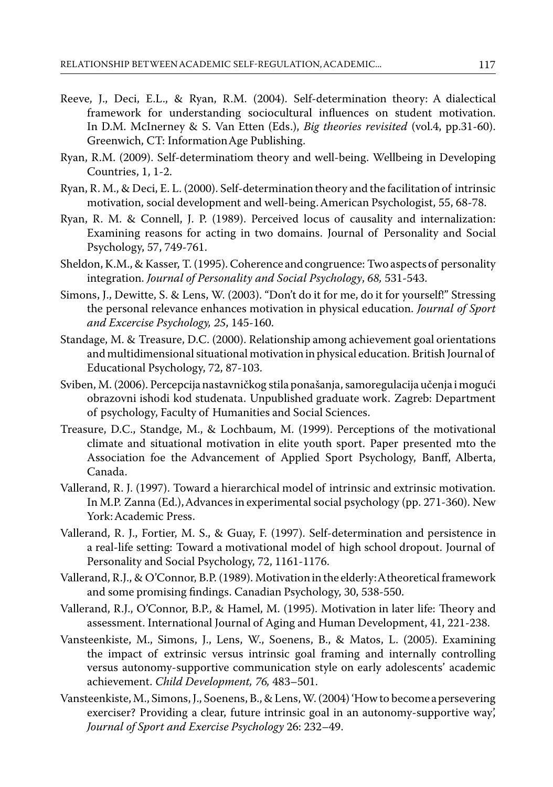- Reeve, J., Deci, E.L., & Ryan, R.M. (2004). Self-determination theory: A dialectical framework for understanding sociocultural influences on student motivation. In D.M. McInerney & S. Van Etten (Eds.), *Big theories revisited* (vol.4, pp.31-60). Greenwich, CT: Information Age Publishing.
- Ryan, R.M. (2009). Self-determinatiom theory and well-being. Wellbeing in Developing Countries, 1, 1-2.
- Ryan, R. M., & Deci, E. L. (2000). Self-determination theory and the facilitation of intrinsic motivation, social development and well-being. American Psychologist, 55, 68-78.
- Ryan, R. M. & Connell, J. P. (1989). Perceived locus of causality and internalization: Examining reasons for acting in two domains. Journal of Personality and Social Psychology, 57, 749-761.
- Sheldon, K.M., & Kasser, T. (1995). Coherence and congruence: Two aspects of personality integration. *Journal of Personality and Social Psychology*, *68,* 531-543.
- Simons, J., Dewitte, S. & Lens, W. (2003). "Don't do it for me, do it for yourself!" Stressing the personal relevance enhances motivation in physical education. *Journal of Sport and Excercise Psychology, 25*, 145-160.
- Standage, M. & Treasure, D.C. (2000). Relationship among achievement goal orientations and multidimensional situational motivation in physical education. British Journal of Educational Psychology, 72, 87-103.
- Sviben, M. (2006). Percepcija nastavničkog stila ponašanja, samoregulacija učenja i mogući obrazovni ishodi kod studenata. Unpublished graduate work. Zagreb: Department of psychology, Faculty of Humanities and Social Sciences.
- Treasure, D.C., Standge, M., & Lochbaum, M. (1999). Perceptions of the motivational climate and situational motivation in elite youth sport. Paper presented mto the Association foe the Advancement of Applied Sport Psychology, Banff, Alberta, Canada.
- Vallerand, R. J. (1997). Toward a hierarchical model of intrinsic and extrinsic motivation. In M.P. Zanna (Ed.), Advances in experimental social psychology (pp. 271-360). New York: Academic Press.
- Vallerand, R. J., Fortier, M. S., & Guay, F. (1997). Self-determination and persistence in a real-life setting: Toward a motivational model of high school dropout. Journal of Personality and Social Psychology, 72, 1161-1176.
- Vallerand, R.J., & O'Connor, B.P. (1989). Motivation in the elderly: A theoretical framework and some promising findings. Canadian Psychology, 30, 538-550.
- Vallerand, R.J., O'Connor, B.P., & Hamel, M. (1995). Motivation in later life: Theory and assessment. International Journal of Aging and Human Development, 41, 221-238.
- Vansteenkiste, M., Simons, J., Lens, W., Soenens, B., & Matos, L. (2005). Examining the impact of extrinsic versus intrinsic goal framing and internally controlling versus autonomy-supportive communication style on early adolescents' academic achievement. *Child Development, 76,* 483–501.
- Vansteenkiste, M., Simons, J., Soenens, B., & Lens, W. (2004) 'How to become a persevering exerciser? Providing a clear, future intrinsic goal in an autonomy-supportive way', *Journal of Sport and Exercise Psychology* 26: 232–49.